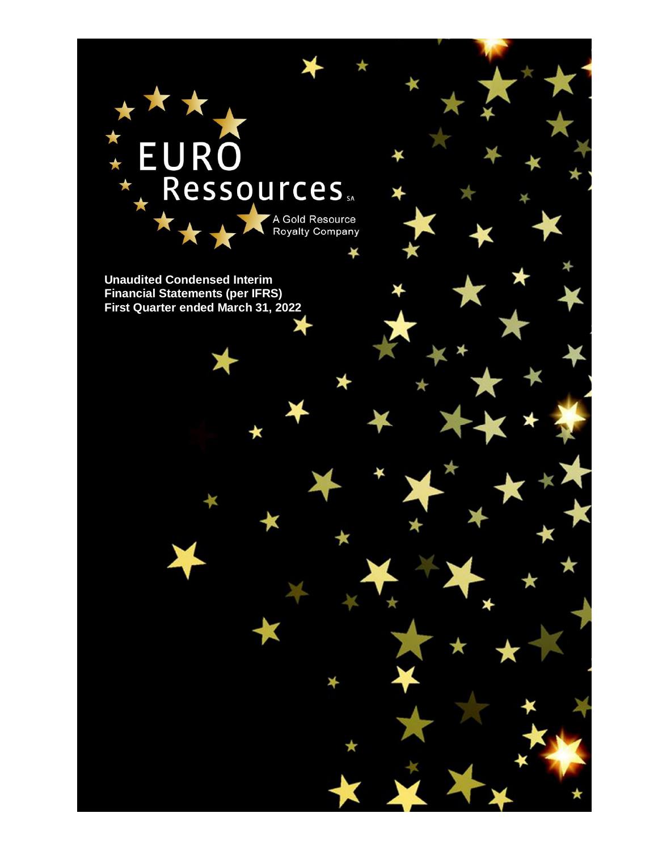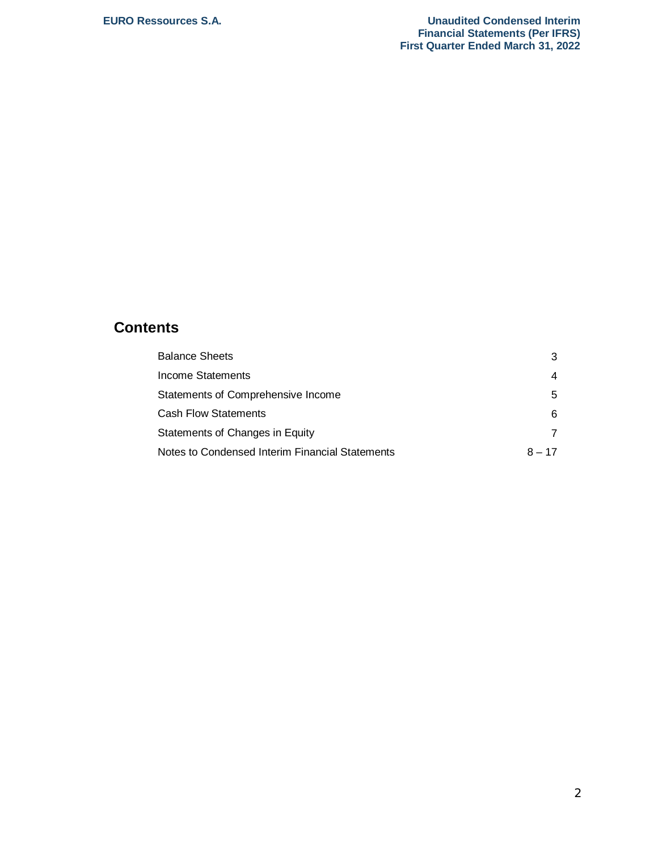# **Contents**

| <b>Balance Sheets</b>                           | 3        |
|-------------------------------------------------|----------|
| Income Statements                               | 4        |
| Statements of Comprehensive Income              | 5        |
| <b>Cash Flow Statements</b>                     | 6        |
| Statements of Changes in Equity                 |          |
| Notes to Condensed Interim Financial Statements | $8 - 17$ |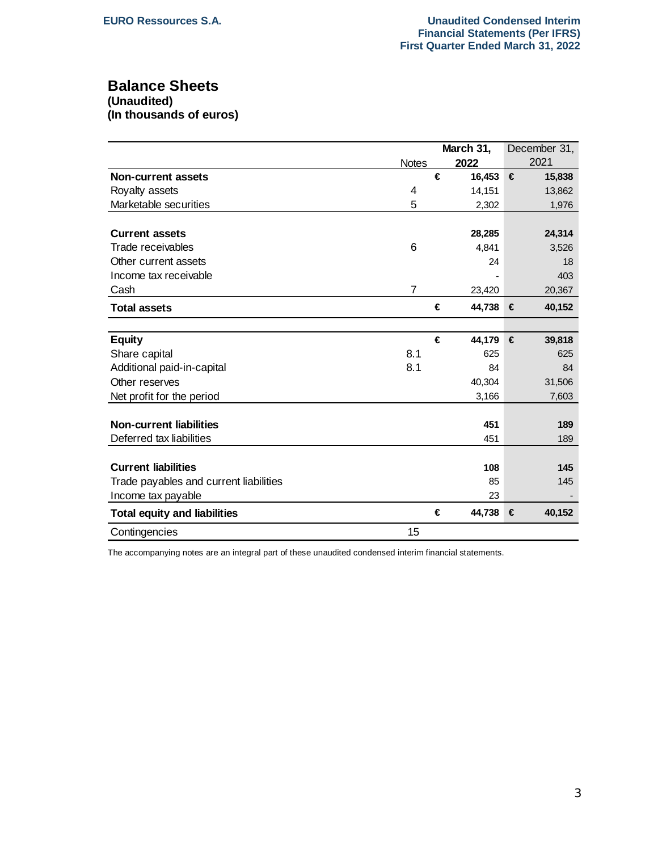# **Balance Sheets**

**(Unaudited)**

**(In thousands of euros)**

|                                        |                |   | March 31, |   | December 31, |
|----------------------------------------|----------------|---|-----------|---|--------------|
|                                        | <b>Notes</b>   |   | 2022      |   | 2021         |
| <b>Non-current assets</b>              |                | € | 16,453    | € | 15,838       |
| Royalty assets                         | 4              |   | 14,151    |   | 13,862       |
| Marketable securities                  | 5              |   | 2,302     |   | 1,976        |
|                                        |                |   |           |   |              |
| <b>Current assets</b>                  |                |   | 28,285    |   | 24,314       |
| Trade receivables                      | 6              |   | 4,841     |   | 3,526        |
| Other current assets                   |                |   | 24        |   | 18           |
| Income tax receivable                  |                |   |           |   | 403          |
| Cash                                   | $\overline{7}$ |   | 23,420    |   | 20,367       |
| <b>Total assets</b>                    |                | € | 44,738    | € | 40,152       |
|                                        |                |   |           |   |              |
| <b>Equity</b>                          |                | € | 44,179    | € | 39,818       |
| Share capital                          | 8.1            |   | 625       |   | 625          |
| Additional paid-in-capital             | 8.1            |   | 84        |   | 84           |
| Other reserves                         |                |   | 40,304    |   | 31,506       |
| Net profit for the period              |                |   | 3,166     |   | 7,603        |
|                                        |                |   |           |   |              |
| <b>Non-current liabilities</b>         |                |   | 451       |   | 189          |
| Deferred tax liabilities               |                |   | 451       |   | 189          |
|                                        |                |   |           |   |              |
| <b>Current liabilities</b>             |                |   | 108       |   | 145          |
| Trade payables and current liabilities |                |   | 85        |   | 145          |
| Income tax payable                     |                |   | 23        |   |              |
| <b>Total equity and liabilities</b>    |                | € | 44,738    | € | 40,152       |
| Contingencies                          | 15             |   |           |   |              |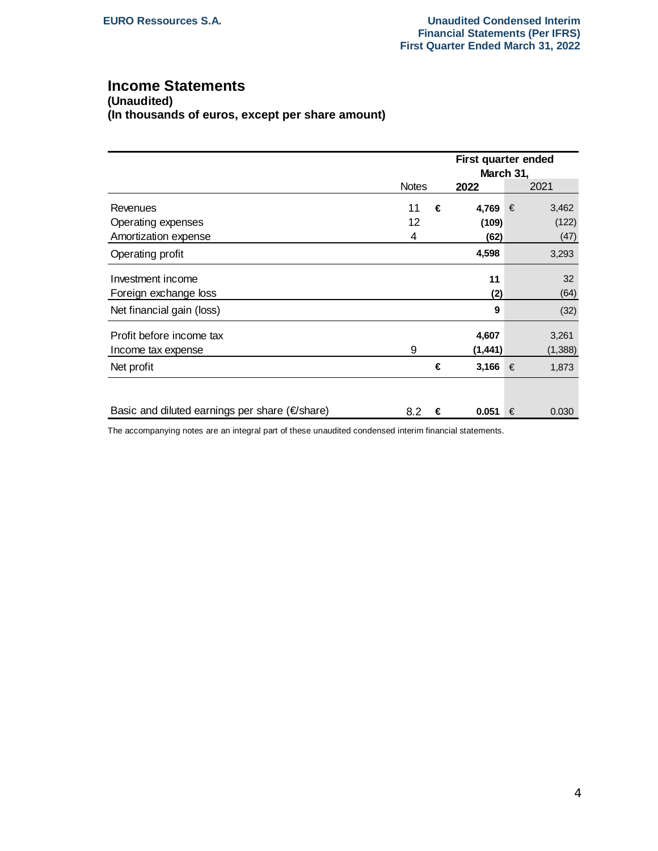# **Income Statements**

**(Unaudited) (In thousands of euros, except per share amount)**

|                                                      |              |   |          | First quarter ended<br>March 31, |         |  |  |
|------------------------------------------------------|--------------|---|----------|----------------------------------|---------|--|--|
|                                                      | <b>Notes</b> |   | 2022     |                                  | 2021    |  |  |
| Revenues                                             | 11           | € | 4,769    | €                                | 3,462   |  |  |
| Operating expenses                                   | 12           |   | (109)    |                                  | (122)   |  |  |
| Amortization expense                                 | 4            |   | (62)     |                                  | (47)    |  |  |
| Operating profit                                     |              |   | 4,598    |                                  | 3,293   |  |  |
| Investment income                                    |              |   | 11       |                                  | 32      |  |  |
| Foreign exchange loss                                |              |   | (2)      |                                  | (64)    |  |  |
| Net financial gain (loss)                            |              |   | 9        |                                  | (32)    |  |  |
| Profit before income tax                             |              |   | 4,607    |                                  | 3,261   |  |  |
| Income tax expense                                   | 9            |   | (1, 441) |                                  | (1,388) |  |  |
| Net profit                                           |              | € | 3,166    | €                                | 1,873   |  |  |
|                                                      |              |   |          |                                  |         |  |  |
| Basic and diluted earnings per share ( $\in$ /share) | 8.2          | € | 0.051    | €                                | 0.030   |  |  |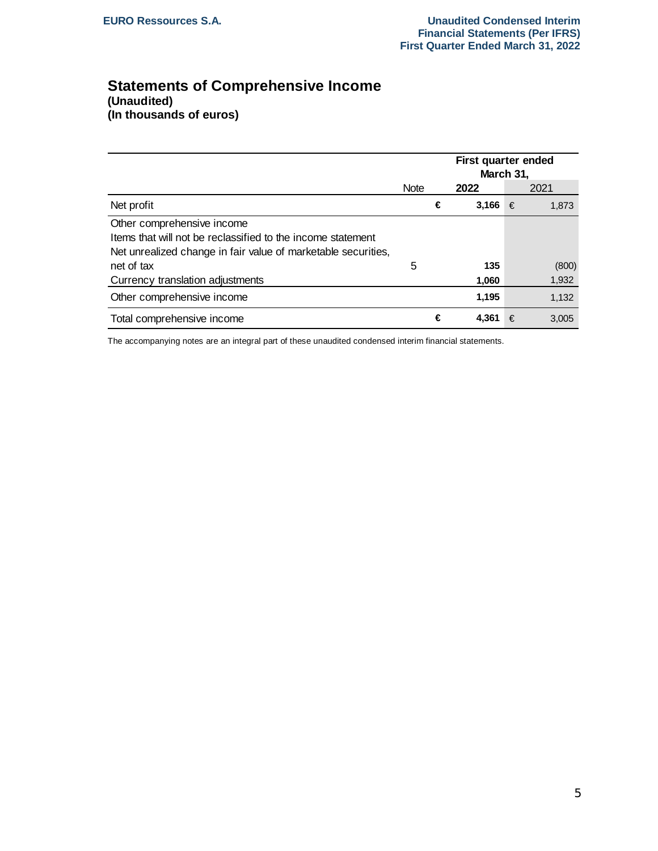# **Statements of Comprehensive Income (Unaudited) (In thousands of euros)**

|                                                               |             |   |       | First quarter ended<br>March 31, |       |  |  |
|---------------------------------------------------------------|-------------|---|-------|----------------------------------|-------|--|--|
|                                                               | <b>Note</b> |   | 2022  |                                  | 2021  |  |  |
| Net profit                                                    |             | € | 3,166 | €                                | 1,873 |  |  |
| Other comprehensive income                                    |             |   |       |                                  |       |  |  |
| Items that will not be reclassified to the income statement   |             |   |       |                                  |       |  |  |
| Net unrealized change in fair value of marketable securities, |             |   |       |                                  |       |  |  |
| net of tax                                                    | 5           |   | 135   |                                  | (800) |  |  |
| Currency translation adjustments                              |             |   | 1,060 |                                  | 1,932 |  |  |
| Other comprehensive income                                    |             |   | 1,195 |                                  | 1,132 |  |  |
| Total comprehensive income                                    |             | € | 4.361 | €                                | 3.005 |  |  |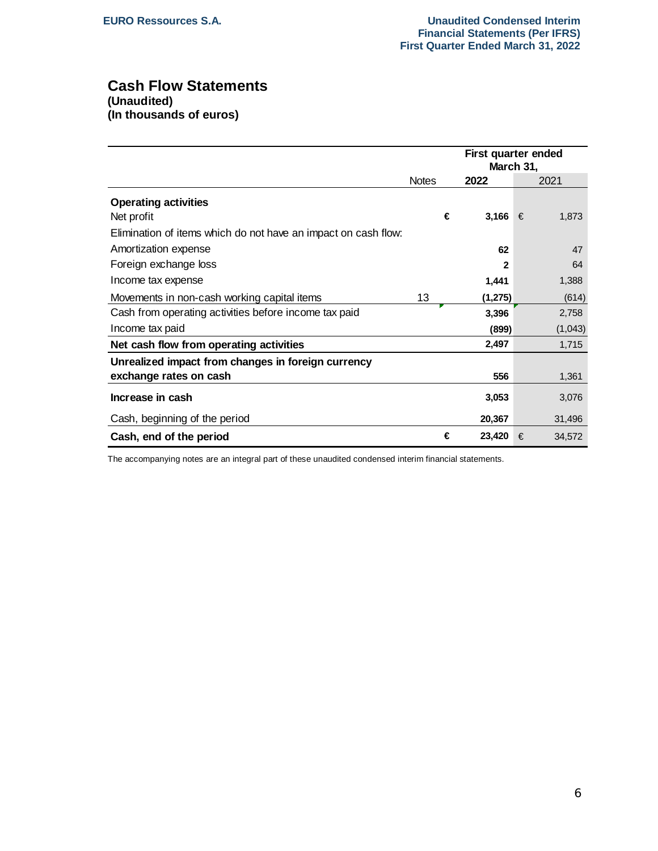# **Cash Flow Statements (Unaudited)**

**(In thousands of euros)**

|                                                                |              |         | First quarter ended<br>March 31, |         |  |
|----------------------------------------------------------------|--------------|---------|----------------------------------|---------|--|
|                                                                | <b>Notes</b> | 2022    |                                  | 2021    |  |
| <b>Operating activities</b>                                    |              |         |                                  |         |  |
| Net profit                                                     | €            | 3,166   | €                                | 1,873   |  |
| Elimination of items which do not have an impact on cash flow: |              |         |                                  |         |  |
| Amortization expense                                           |              | 62      |                                  | 47      |  |
| Foreign exchange loss                                          |              | 2       |                                  | 64      |  |
| Income tax expense                                             |              | 1,441   |                                  | 1,388   |  |
| Movements in non-cash working capital items                    | 13           | (1,275) |                                  | (614)   |  |
| Cash from operating activities before income tax paid          |              | 3,396   |                                  | 2,758   |  |
| Income tax paid                                                |              | (899)   |                                  | (1,043) |  |
| Net cash flow from operating activities                        |              | 2,497   |                                  | 1,715   |  |
| Unrealized impact from changes in foreign currency             |              |         |                                  |         |  |
| exchange rates on cash                                         |              | 556     |                                  | 1,361   |  |
| Increase in cash                                               |              | 3,053   |                                  | 3,076   |  |
| Cash, beginning of the period                                  |              | 20,367  |                                  | 31,496  |  |
| Cash, end of the period                                        | €            | 23,420  | €                                | 34,572  |  |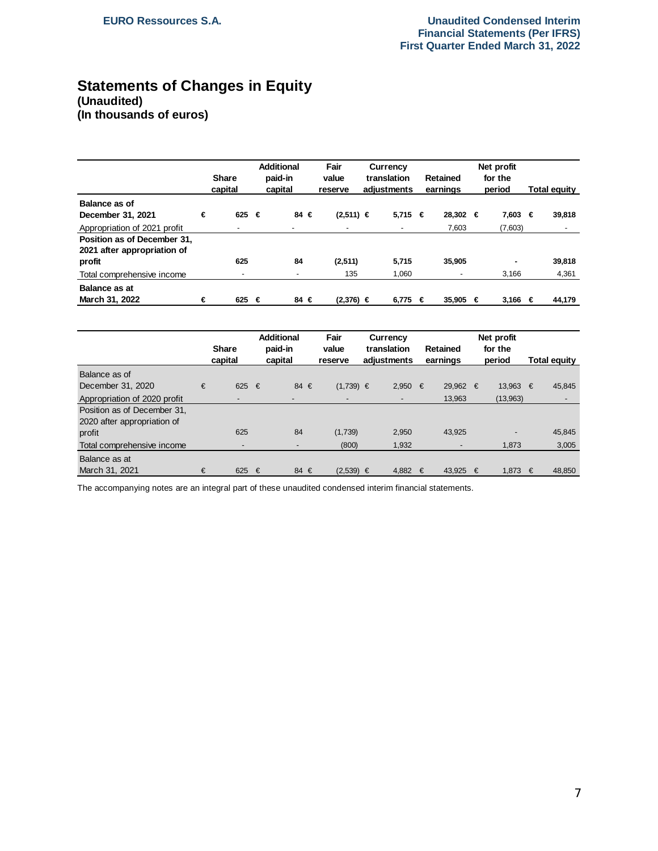# **Statements of Changes in Equity (Unaudited) (In thousands of euros)**

|                                                            |   | <b>Share</b><br>capital  |   | <b>Additional</b><br>paid-in<br>capital | Fair<br>value<br>reserve | Currency<br>translation<br>adiustments | Net profit<br>for the<br><b>Retained</b><br>earnings<br>period |          | <b>Total equity</b> |         |   |        |
|------------------------------------------------------------|---|--------------------------|---|-----------------------------------------|--------------------------|----------------------------------------|----------------------------------------------------------------|----------|---------------------|---------|---|--------|
| Balance as of<br>December 31, 2021                         | € | 625                      | € | 84 €                                    | $(2,511) \in$            | $5.715 \in$                            |                                                                | 28.302 € |                     | 7.603   | € | 39,818 |
| Appropriation of 2021 profit                               |   |                          |   |                                         |                          |                                        |                                                                | 7,603    |                     | (7,603) |   |        |
| Position as of December 31,<br>2021 after appropriation of |   |                          |   |                                         |                          |                                        |                                                                |          |                     |         |   |        |
| profit                                                     |   | 625                      |   | 84                                      | (2,511)                  | 5,715                                  |                                                                | 35,905   |                     | ۰       |   | 39,818 |
| Total comprehensive income                                 |   | $\overline{\phantom{a}}$ |   |                                         | 135                      | 1,060                                  |                                                                |          |                     | 3,166   |   | 4,361  |
| <b>Balance as at</b><br>March 31, 2022                     | € | 625                      | € | 84 €                                    | (2.376) ∈                | 6.775                                  | €                                                              | 35.905   | €                   | 3.166   | € | 44.179 |

|                              |   | <b>Share</b><br>capital  |   | <b>Additional</b><br>paid-in<br>capital | Fair<br>value<br>reserve | Currency<br>translation<br><b>Retained</b><br>earnings<br>adiustments |       | Net profit<br>for the<br>period |        | <b>Total equity</b> |          |            |        |
|------------------------------|---|--------------------------|---|-----------------------------------------|--------------------------|-----------------------------------------------------------------------|-------|---------------------------------|--------|---------------------|----------|------------|--------|
| Balance as of                |   |                          |   |                                         |                          |                                                                       |       |                                 |        |                     |          |            |        |
| December 31, 2020            | € | 625 $\epsilon$           |   | 84 $\in$                                | $(1,739) \in$            |                                                                       | 2.950 | €                               | 29.962 | €                   | 13.963   | $\epsilon$ | 45,845 |
| Appropriation of 2020 profit |   |                          |   |                                         |                          |                                                                       |       |                                 | 13,963 |                     | (13,963) |            |        |
| Position as of December 31,  |   |                          |   |                                         |                          |                                                                       |       |                                 |        |                     |          |            |        |
| 2020 after appropriation of  |   |                          |   |                                         |                          |                                                                       |       |                                 |        |                     |          |            |        |
| profit                       |   | 625                      |   | 84                                      | (1,739)                  |                                                                       | 2,950 |                                 | 43,925 |                     |          |            | 45,845 |
| Total comprehensive income   |   | $\overline{\phantom{a}}$ |   | $\overline{\phantom{a}}$                | (800)                    |                                                                       | 1,932 |                                 |        |                     | 1,873    |            | 3,005  |
| Balance as at                |   |                          |   |                                         |                          |                                                                       |       |                                 |        |                     |          |            |        |
| March 31, 2021               | € | 625                      | € | 84 €                                    | $(2,539) \in$            |                                                                       | 4.882 | €                               | 43.925 | €                   | 1.873    | €          | 48.850 |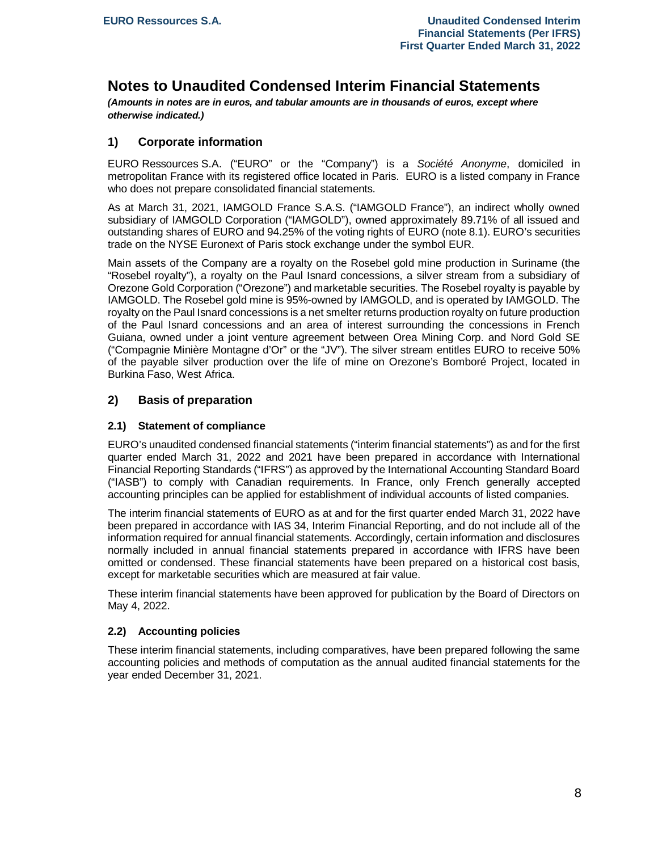# **Notes to Unaudited Condensed Interim Financial Statements**

*(Amounts in notes are in euros, and tabular amounts are in thousands of euros, except where otherwise indicated.)*

# **1) Corporate information**

EURO Ressources S.A. ("EURO" or the "Company") is a *Société Anonyme*, domiciled in metropolitan France with its registered office located in Paris. EURO is a listed company in France who does not prepare consolidated financial statements.

As at March 31, 2021, IAMGOLD France S.A.S. ("IAMGOLD France"), an indirect wholly owned subsidiary of IAMGOLD Corporation ("IAMGOLD"), owned approximately 89.71% of all issued and outstanding shares of EURO and 94.25% of the voting rights of EURO (note 8.1). EURO's securities trade on the NYSE Euronext of Paris stock exchange under the symbol EUR.

Main assets of the Company are a royalty on the Rosebel gold mine production in Suriname (the "Rosebel royalty"), a royalty on the Paul Isnard concessions, a silver stream from a subsidiary of Orezone Gold Corporation ("Orezone") and marketable securities. The Rosebel royalty is payable by IAMGOLD. The Rosebel gold mine is 95%-owned by IAMGOLD, and is operated by IAMGOLD. The royalty on the Paul Isnard concessions is a net smelter returns production royalty on future production of the Paul Isnard concessions and an area of interest surrounding the concessions in French Guiana, owned under a joint venture agreement between Orea Mining Corp. and Nord Gold SE ("Compagnie Minière Montagne d'Or" or the "JV"). The silver stream entitles EURO to receive 50% of the payable silver production over the life of mine on Orezone's Bomboré Project, located in Burkina Faso, West Africa.

# **2) Basis of preparation**

# **2.1) Statement of compliance**

EURO's unaudited condensed financial statements ("interim financial statements") as and for the first quarter ended March 31, 2022 and 2021 have been prepared in accordance with International Financial Reporting Standards ("IFRS") as approved by the International Accounting Standard Board ("IASB") to comply with Canadian requirements. In France, only French generally accepted accounting principles can be applied for establishment of individual accounts of listed companies.

The interim financial statements of EURO as at and for the first quarter ended March 31, 2022 have been prepared in accordance with IAS 34, Interim Financial Reporting, and do not include all of the information required for annual financial statements. Accordingly, certain information and disclosures normally included in annual financial statements prepared in accordance with IFRS have been omitted or condensed. These financial statements have been prepared on a historical cost basis, except for marketable securities which are measured at fair value.

These interim financial statements have been approved for publication by the Board of Directors on May 4, 2022.

#### **2.2) Accounting policies**

These interim financial statements, including comparatives, have been prepared following the same accounting policies and methods of computation as the annual audited financial statements for the year ended December 31, 2021.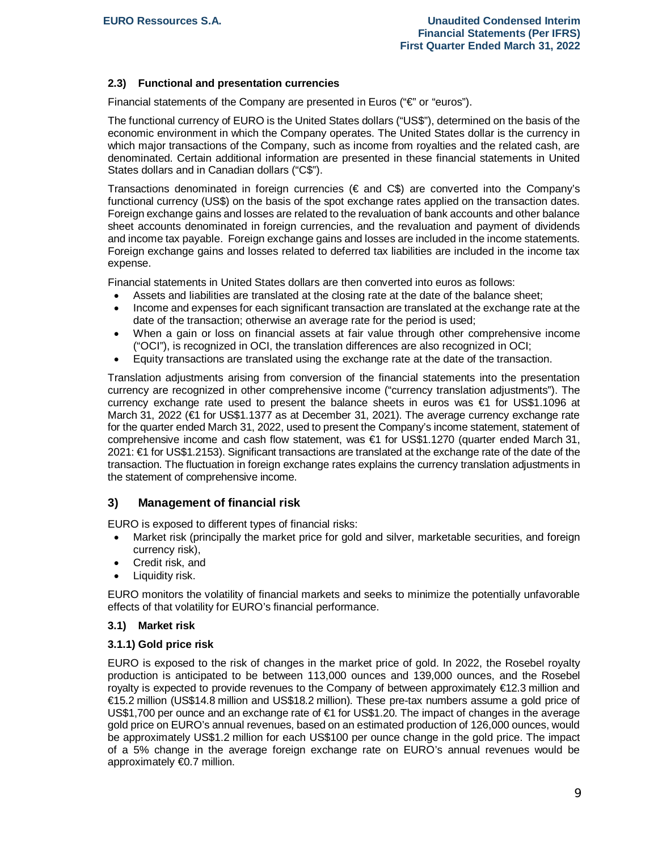# **2.3) Functional and presentation currencies**

Financial statements of the Company are presented in Euros ("€" or "euros").

The functional currency of EURO is the United States dollars ("US\$"), determined on the basis of the economic environment in which the Company operates. The United States dollar is the currency in which major transactions of the Company, such as income from royalties and the related cash, are denominated. Certain additional information are presented in these financial statements in United States dollars and in Canadian dollars ("C\$").

Transactions denominated in foreign currencies ( $\in$  and  $C$ \$) are converted into the Company's functional currency (US\$) on the basis of the spot exchange rates applied on the transaction dates. Foreign exchange gains and losses are related to the revaluation of bank accounts and other balance sheet accounts denominated in foreign currencies, and the revaluation and payment of dividends and income tax payable. Foreign exchange gains and losses are included in the income statements. Foreign exchange gains and losses related to deferred tax liabilities are included in the income tax expense.

Financial statements in United States dollars are then converted into euros as follows:

- Assets and liabilities are translated at the closing rate at the date of the balance sheet;
- · Income and expenses for each significant transaction are translated at the exchange rate at the date of the transaction; otherwise an average rate for the period is used;
- · When a gain or loss on financial assets at fair value through other comprehensive income ("OCI"), is recognized in OCI, the translation differences are also recognized in OCI;
- · Equity transactions are translated using the exchange rate at the date of the transaction.

Translation adjustments arising from conversion of the financial statements into the presentation currency are recognized in other comprehensive income ("currency translation adjustments"). The currency exchange rate used to present the balance sheets in euros was €1 for US\$1.1096 at March 31, 2022 (€1 for US\$1.1377 as at December 31, 2021). The average currency exchange rate for the quarter ended March 31, 2022, used to present the Company's income statement, statement of comprehensive income and cash flow statement, was €1 for US\$1.1270 (quarter ended March 31, 2021: €1 for US\$1.2153). Significant transactions are translated at the exchange rate of the date of the transaction. The fluctuation in foreign exchange rates explains the currency translation adjustments in the statement of comprehensive income.

# **3) Management of financial risk**

EURO is exposed to different types of financial risks:

- Market risk (principally the market price for gold and silver, marketable securities, and foreign currency risk),
- Credit risk, and
- Liquidity risk.

EURO monitors the volatility of financial markets and seeks to minimize the potentially unfavorable effects of that volatility for EURO's financial performance.

#### **3.1) Market risk**

#### **3.1.1) Gold price risk**

EURO is exposed to the risk of changes in the market price of gold. In 2022, the Rosebel royalty production is anticipated to be between 113,000 ounces and 139,000 ounces, and the Rosebel royalty is expected to provide revenues to the Company of between approximately  $\epsilon$ 12.3 million and €15.2 million (US\$14.8 million and US\$18.2 million). These pre-tax numbers assume a gold price of US\$1,700 per ounce and an exchange rate of €1 for US\$1.20. The impact of changes in the average gold price on EURO's annual revenues, based on an estimated production of 126,000 ounces, would be approximately US\$1.2 million for each US\$100 per ounce change in the gold price. The impact of a 5% change in the average foreign exchange rate on EURO's annual revenues would be approximately €0.7 million.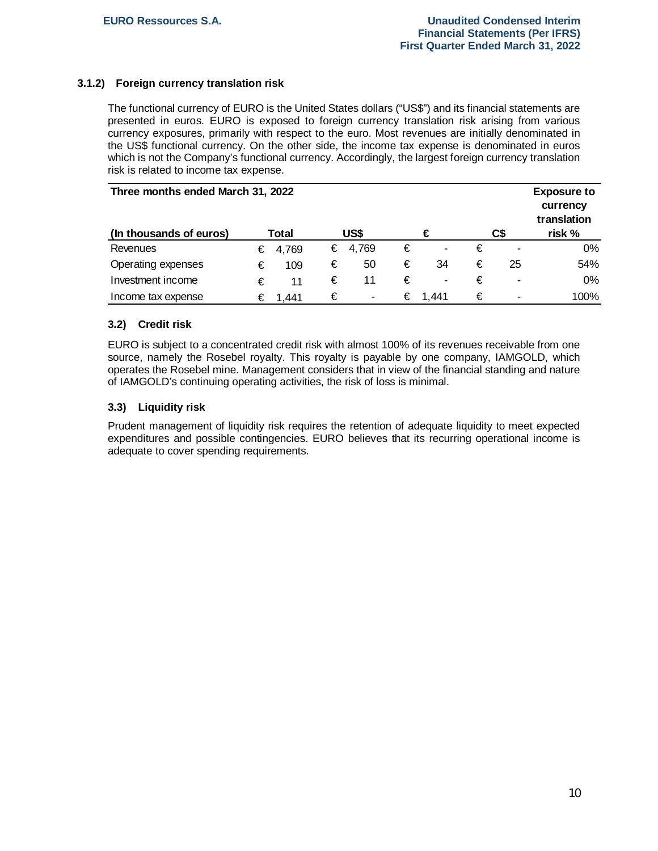# **3.1.2) Foreign currency translation risk**

The functional currency of EURO is the United States dollars ("US\$") and its financial statements are presented in euros. EURO is exposed to foreign currency translation risk arising from various currency exposures, primarily with respect to the euro. Most revenues are initially denominated in the US\$ functional currency. On the other side, the income tax expense is denominated in euros which is not the Company's functional currency. Accordingly, the largest foreign currency translation risk is related to income tax expense.

| Three months ended March 31, 2022 |   |         |   |         |   |       |   |     | <b>Exposure to</b><br>currency<br>translation |
|-----------------------------------|---|---------|---|---------|---|-------|---|-----|-----------------------------------------------|
| (In thousands of euros)           |   | Total   |   | US\$    | € |       |   | C\$ | risk %                                        |
| Revenues                          |   | € 4,769 |   | € 4,769 | € | ٠     | € |     | 0%                                            |
| Operating expenses                | € | 109     | € | 50      | € | 34    | € | 25  | 54%                                           |
| Investment income                 | € | 11      | € | 11      | € | ٠     | € | ۰   | $0\%$                                         |
| Income tax expense                |   | € 1.441 | € | ٠       | € | 1.441 | € | ۰   | 100%                                          |

#### **3.2) Credit risk**

EURO is subject to a concentrated credit risk with almost 100% of its revenues receivable from one source, namely the Rosebel royalty. This royalty is payable by one company, IAMGOLD, which operates the Rosebel mine. Management considers that in view of the financial standing and nature of IAMGOLD's continuing operating activities, the risk of loss is minimal.

# **3.3) Liquidity risk**

Prudent management of liquidity risk requires the retention of adequate liquidity to meet expected expenditures and possible contingencies. EURO believes that its recurring operational income is adequate to cover spending requirements.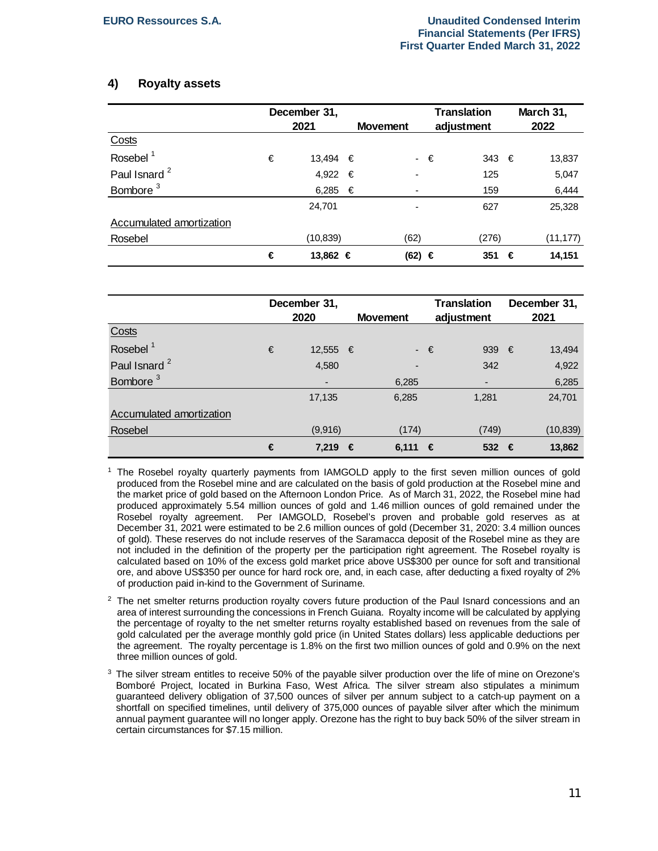# **4) Royalty assets**

|                          |   | December 31, |   |                          |             | <b>Translation</b> | March 31, |           |  |
|--------------------------|---|--------------|---|--------------------------|-------------|--------------------|-----------|-----------|--|
|                          |   | 2021         |   | <b>Movement</b>          |             | adjustment         |           | 2022      |  |
| Costs                    |   |              |   |                          |             |                    |           |           |  |
| Rosebel <sup>1</sup>     | € | 13,494 €     |   |                          | $\cdot \in$ | $343 \in$          |           | 13,837    |  |
| Paul Isnard <sup>2</sup> |   | 4,922        | € | $\overline{\phantom{a}}$ |             | 125                |           | 5,047     |  |
| Bombore <sup>3</sup>     |   | 6,285 $€$    |   | ٠                        |             | 159                |           | 6,444     |  |
|                          |   | 24,701       |   |                          |             | 627                |           | 25,328    |  |
| Accumulated amortization |   |              |   |                          |             |                    |           |           |  |
| Rosebel                  |   | (10, 839)    |   | (62)                     |             | (276)              |           | (11, 177) |  |
|                          | € | 13,862 €     |   | (62) €                   |             | 351                | €         | 14,151    |  |

|                          |   | December 31, |   |                 |        | <b>Translation</b> |      | December 31, |  |
|--------------------------|---|--------------|---|-----------------|--------|--------------------|------|--------------|--|
|                          |   | 2020         |   | <b>Movement</b> |        | adjustment         | 2021 |              |  |
| Costs                    |   |              |   |                 |        |                    |      |              |  |
| Rosebel <sup>1</sup>     | € | 12,555 €     |   |                 | $ \in$ | 939                | €    | 13,494       |  |
| Paul Isnard <sup>2</sup> |   | 4,580        |   | -               |        | 342                |      | 4,922        |  |
| Bombore <sup>3</sup>     |   | ٠            |   | 6,285           |        |                    |      | 6,285        |  |
|                          |   | 17,135       |   | 6,285           |        | 1,281              |      | 24,701       |  |
| Accumulated amortization |   |              |   |                 |        |                    |      |              |  |
| Rosebel                  |   | (9,916)      |   | (174)           |        | (749)              |      | (10, 839)    |  |
|                          | € | 7,219        | € | 6.111           | €      | 532                | €    | 13,862       |  |

1 The Rosebel royalty quarterly payments from IAMGOLD apply to the first seven million ounces of gold produced from the Rosebel mine and are calculated on the basis of gold production at the Rosebel mine and the market price of gold based on the Afternoon London Price. As of March 31, 2022, the Rosebel mine had produced approximately 5.54 million ounces of gold and 1.46 million ounces of gold remained under the Rosebel royalty agreement. Per IAMGOLD, Rosebel's proven and probable gold reserves as at December 31, 2021 were estimated to be 2.6 million ounces of gold (December 31, 2020: 3.4 million ounces of gold). These reserves do not include reserves of the Saramacca deposit of the Rosebel mine as they are not included in the definition of the property per the participation right agreement. The Rosebel royalty is calculated based on 10% of the excess gold market price above US\$300 per ounce for soft and transitional ore, and above US\$350 per ounce for hard rock ore, and, in each case, after deducting a fixed royalty of 2% of production paid in-kind to the Government of Suriname.

- $2$  The net smelter returns production royalty covers future production of the Paul Isnard concessions and an area of interest surrounding the concessions in French Guiana. Royalty income will be calculated by applying the percentage of royalty to the net smelter returns royalty established based on revenues from the sale of gold calculated per the average monthly gold price (in United States dollars) less applicable deductions per the agreement. The royalty percentage is 1.8% on the first two million ounces of gold and 0.9% on the next three million ounces of gold.
- $3$  The silver stream entitles to receive 50% of the payable silver production over the life of mine on Orezone's Bomboré Project, located in Burkina Faso, West Africa. The silver stream also stipulates a minimum guaranteed delivery obligation of 37,500 ounces of silver per annum subject to a catch-up payment on a shortfall on specified timelines, until delivery of 375,000 ounces of payable silver after which the minimum annual payment guarantee will no longer apply. Orezone has the right to buy back 50% of the silver stream in certain circumstances for \$7.15 million.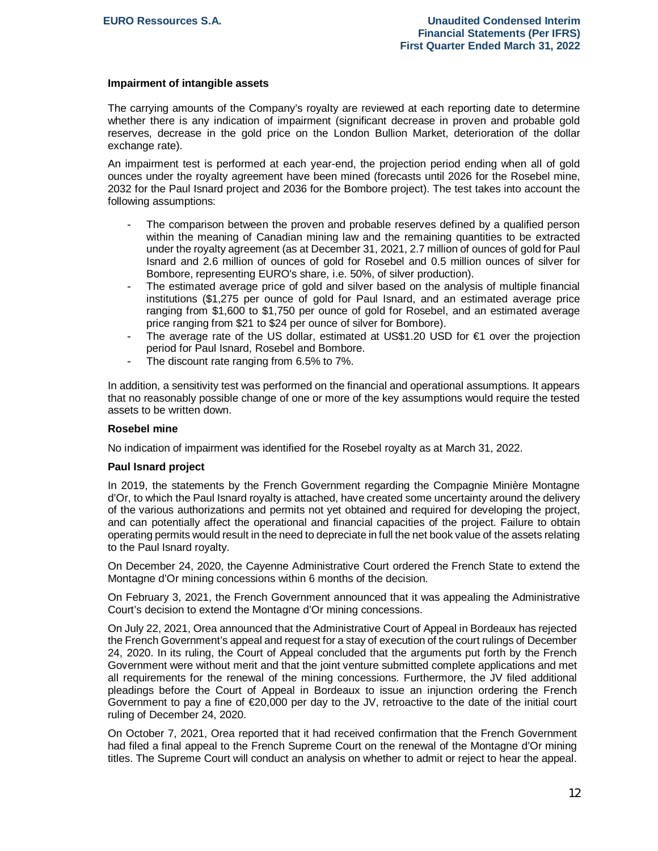#### **Impairment of intangible assets**

The carrying amounts of the Company's royalty are reviewed at each reporting date to determine whether there is any indication of impairment (significant decrease in proven and probable gold reserves, decrease in the gold price on the London Bullion Market, deterioration of the dollar exchange rate).

An impairment test is performed at each year-end, the projection period ending when all of gold ounces under the royalty agreement have been mined (forecasts until 2026 for the Rosebel mine, 2032 for the Paul Isnard project and 2036 for the Bombore project). The test takes into account the following assumptions:

- The comparison between the proven and probable reserves defined by a qualified person within the meaning of Canadian mining law and the remaining quantities to be extracted under the royalty agreement (as at December 31, 2021, 2.7 million of ounces of gold for Paul Isnard and 2.6 million of ounces of gold for Rosebel and 0.5 million ounces of silver for Bombore, representing EURO's share, i.e. 50%, of silver production).
- The estimated average price of gold and silver based on the analysis of multiple financial institutions (\$1,275 per ounce of gold for Paul Isnard, and an estimated average price ranging from \$1,600 to \$1,750 per ounce of gold for Rosebel, and an estimated average price ranging from \$21 to \$24 per ounce of silver for Bombore).
- The average rate of the US dollar, estimated at US\$1.20 USD for  $\epsilon$ 1 over the projection period for Paul Isnard, Rosebel and Bombore.
- The discount rate ranging from 6.5% to 7%.

In addition, a sensitivity test was performed on the financial and operational assumptions. It appears that no reasonably possible change of one or more of the key assumptions would require the tested assets to be written down.

#### **Rosebel mine**

No indication of impairment was identified for the Rosebel royalty as at March 31, 2022.

#### **Paul Isnard project**

In 2019, the statements by the French Government regarding the Compagnie Minière Montagne d'Or, to which the Paul Isnard royalty is attached, have created some uncertainty around the delivery of the various authorizations and permits not yet obtained and required for developing the project, and can potentially affect the operational and financial capacities of the project. Failure to obtain operating permits would result in the need to depreciate in full the net book value of the assets relating to the Paul Isnard royalty.

On December 24, 2020, the Cayenne Administrative Court ordered the French State to extend the Montagne d'Or mining concessions within 6 months of the decision.

On February 3, 2021, the French Government announced that it was appealing the Administrative Court's decision to extend the Montagne d'Or mining concessions.

On July 22, 2021, Orea announced that the Administrative Court of Appeal in Bordeaux has rejected the French Government's appeal and request for a stay of execution of the court rulings of December 24, 2020. In its ruling, the Court of Appeal concluded that the arguments put forth by the French Government were without merit and that the joint venture submitted complete applications and met all requirements for the renewal of the mining concessions. Furthermore, the JV filed additional pleadings before the Court of Appeal in Bordeaux to issue an injunction ordering the French Government to pay a fine of €20,000 per day to the JV, retroactive to the date of the initial court ruling of December 24, 2020.

On October 7, 2021, Orea reported that it had received confirmation that the French Government had filed a final appeal to the French Supreme Court on the renewal of the Montagne d'Or mining titles. The Supreme Court will conduct an analysis on whether to admit or reject to hear the appeal.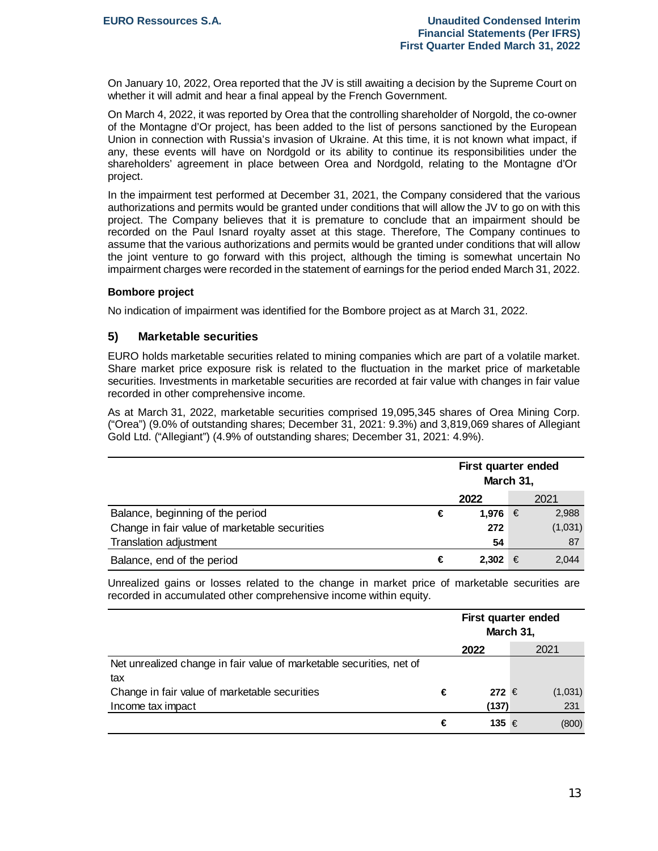On January 10, 2022, Orea reported that the JV is still awaiting a decision by the Supreme Court on whether it will admit and hear a final appeal by the French Government.

On March 4, 2022, it was reported by Orea that the controlling shareholder of Norgold, the co-owner of the Montagne d'Or project, has been added to the list of persons sanctioned by the European Union in connection with Russia's invasion of Ukraine. At this time, it is not known what impact, if any, these events will have on Nordgold or its ability to continue its responsibilities under the shareholders' agreement in place between Orea and Nordgold, relating to the Montagne d'Or project.

In the impairment test performed at December 31, 2021, the Company considered that the various authorizations and permits would be granted under conditions that will allow the JV to go on with this project. The Company believes that it is premature to conclude that an impairment should be recorded on the Paul Isnard royalty asset at this stage. Therefore, The Company continues to assume that the various authorizations and permits would be granted under conditions that will allow the joint venture to go forward with this project, although the timing is somewhat uncertain No impairment charges were recorded in the statement of earnings for the period ended March 31, 2022.

#### **Bombore project**

No indication of impairment was identified for the Bombore project as at March 31, 2022.

#### **5) Marketable securities**

EURO holds marketable securities related to mining companies which are part of a volatile market. Share market price exposure risk is related to the fluctuation in the market price of marketable securities. Investments in marketable securities are recorded at fair value with changes in fair value recorded in other comprehensive income.

As at March 31, 2022, marketable securities comprised 19,095,345 shares of Orea Mining Corp. ("Orea") (9.0% of outstanding shares; December 31, 2021: 9.3%) and 3,819,069 shares of Allegiant Gold Ltd. ("Allegiant") (4.9% of outstanding shares; December 31, 2021: 4.9%).

|                                               | First quarter ended<br>March 31, |         |   |         |  |  |
|-----------------------------------------------|----------------------------------|---------|---|---------|--|--|
|                                               |                                  | 2022    |   | 2021    |  |  |
| Balance, beginning of the period              | €                                | 1,976   | € | 2,988   |  |  |
| Change in fair value of marketable securities |                                  | 272     |   | (1,031) |  |  |
| Translation adjustment                        |                                  | 54      |   | 87      |  |  |
| Balance, end of the period                    | €                                | 2,302 € |   | 2.044   |  |  |

Unrealized gains or losses related to the change in market price of marketable securities are recorded in accumulated other comprehensive income within equity.

|                                                                      |   | First quarter ended<br>March 31, |  |         |  |  |
|----------------------------------------------------------------------|---|----------------------------------|--|---------|--|--|
|                                                                      |   | 2022                             |  | 2021    |  |  |
| Net unrealized change in fair value of marketable securities, net of |   |                                  |  |         |  |  |
| tax                                                                  |   |                                  |  |         |  |  |
| Change in fair value of marketable securities                        | € | 272 €                            |  | (1,031) |  |  |
| Income tax impact                                                    |   | (137)                            |  | 231     |  |  |
|                                                                      | € | 135 €                            |  | (800)   |  |  |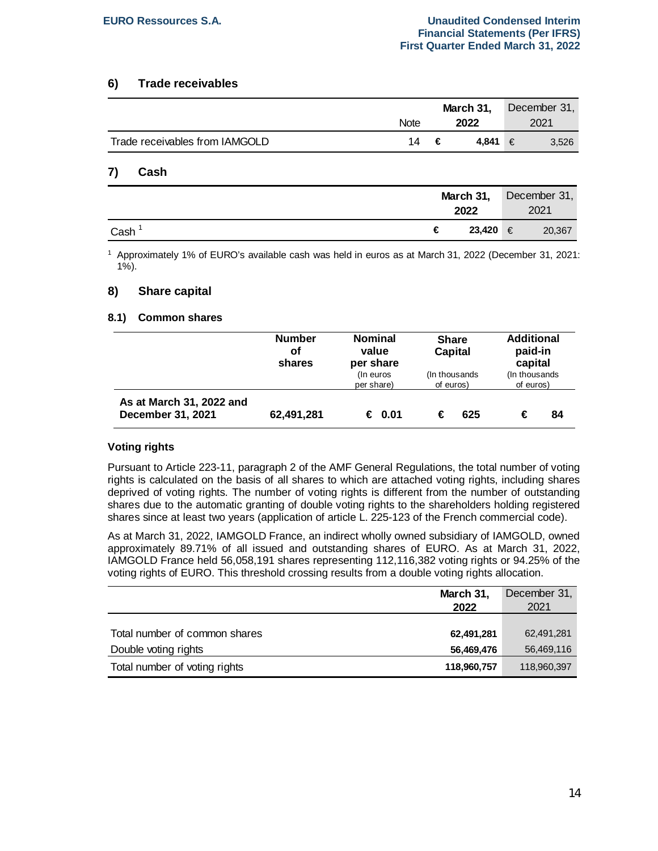### **6) Trade receivables**

|                                | <b>Note</b> |      | March 31.<br>2022 | December 31,<br>2021 |
|--------------------------------|-------------|------|-------------------|----------------------|
| Trade receivables from IAMGOLD |             | 14 € | 4.841 €           | 3,526                |

#### **7) Cash**

|      |   | March 31,<br>2022 | December 31,<br>2021 |        |
|------|---|-------------------|----------------------|--------|
| Cash | € | 23,420 €          |                      | 20,367 |

1 Approximately 1% of EURO's available cash was held in euros as at March 31, 2022 (December 31, 2021: 1%).

#### **8) Share capital**

#### **8.1) Common shares**

|                                               | <b>Number</b><br>οf<br>shares | <b>Nominal</b><br>value<br>per share<br>(In euros<br>per share) | <b>Share</b><br>Capital<br>(In thousands)<br>of euros) | <b>Additional</b><br>paid-in<br>capital<br>(In thousands)<br>of euros) |  |
|-----------------------------------------------|-------------------------------|-----------------------------------------------------------------|--------------------------------------------------------|------------------------------------------------------------------------|--|
| As at March 31, 2022 and<br>December 31, 2021 | 62,491,281                    | € 0.01                                                          | 625<br>€                                               | 84                                                                     |  |

#### **Voting rights**

Pursuant to Article 223-11, paragraph 2 of the AMF General Regulations, the total number of voting rights is calculated on the basis of all shares to which are attached voting rights, including shares deprived of voting rights. The number of voting rights is different from the number of outstanding shares due to the automatic granting of double voting rights to the shareholders holding registered shares since at least two years (application of article L. 225-123 of the French commercial code).

As at March 31, 2022, IAMGOLD France, an indirect wholly owned subsidiary of IAMGOLD, owned approximately 89.71% of all issued and outstanding shares of EURO. As at March 31, 2022, IAMGOLD France held 56,058,191 shares representing 112,116,382 voting rights or 94.25% of the voting rights of EURO. This threshold crossing results from a double voting rights allocation.

|                               | March 31,   | December 31, |
|-------------------------------|-------------|--------------|
|                               | 2022        | 2021         |
|                               |             |              |
| Total number of common shares | 62,491,281  | 62,491,281   |
| Double voting rights          | 56,469,476  | 56,469,116   |
| Total number of voting rights | 118,960,757 | 118,960,397  |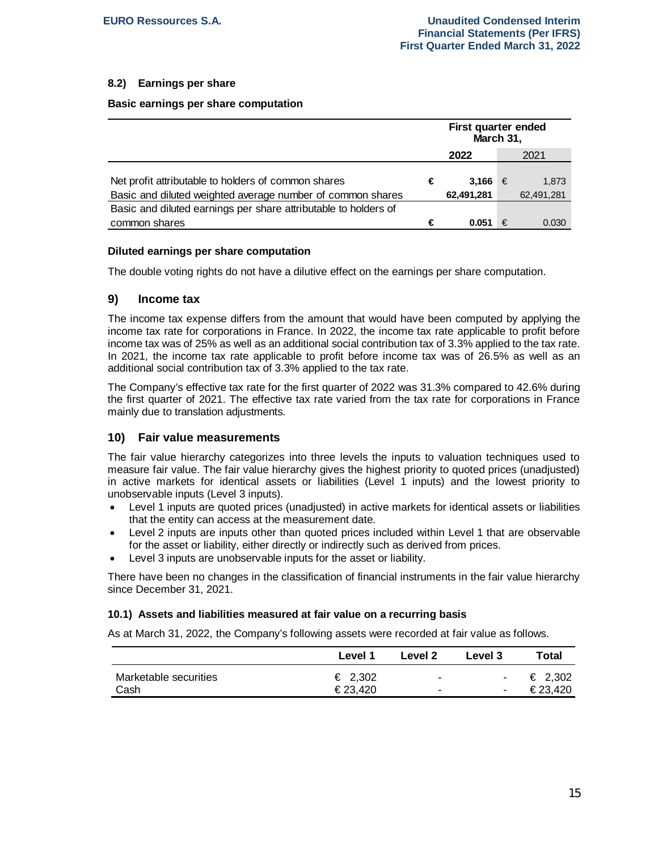# **8.2) Earnings per share**

#### **Basic earnings per share computation**

|                                                                 | First quarter ended<br>March 31, |            |   |            |
|-----------------------------------------------------------------|----------------------------------|------------|---|------------|
|                                                                 | 2022                             |            |   | 2021       |
|                                                                 |                                  |            |   |            |
| Net profit attributable to holders of common shares             | €                                | 3.166      | € | 1.873      |
| Basic and diluted weighted average number of common shares      |                                  | 62,491,281 |   | 62,491,281 |
| Basic and diluted earnings per share attributable to holders of |                                  |            |   |            |
| common shares                                                   | €                                | 0.051      | € | 0.030      |

#### **Diluted earnings per share computation**

The double voting rights do not have a dilutive effect on the earnings per share computation.

# **9) Income tax**

The income tax expense differs from the amount that would have been computed by applying the income tax rate for corporations in France. In 2022, the income tax rate applicable to profit before income tax was of 25% as well as an additional social contribution tax of 3.3% applied to the tax rate. In 2021, the income tax rate applicable to profit before income tax was of 26.5% as well as an additional social contribution tax of 3.3% applied to the tax rate.

The Company's effective tax rate for the first quarter of 2022 was 31.3% compared to 42.6% during the first quarter of 2021. The effective tax rate varied from the tax rate for corporations in France mainly due to translation adjustments.

#### **10) Fair value measurements**

The fair value hierarchy categorizes into three levels the inputs to valuation techniques used to measure fair value. The fair value hierarchy gives the highest priority to quoted prices (unadjusted) in active markets for identical assets or liabilities (Level 1 inputs) and the lowest priority to unobservable inputs (Level 3 inputs).

- Level 1 inputs are quoted prices (unadjusted) in active markets for identical assets or liabilities that the entity can access at the measurement date.
- · Level 2 inputs are inputs other than quoted prices included within Level 1 that are observable for the asset or liability, either directly or indirectly such as derived from prices.
- Level 3 inputs are unobservable inputs for the asset or liability.

There have been no changes in the classification of financial instruments in the fair value hierarchy since December 31, 2021.

#### **10.1) Assets and liabilities measured at fair value on a recurring basis**

As at March 31, 2022, the Company's following assets were recorded at fair value as follows.

|                       | Level 1 | Level 2 | <b>Level 3</b> | Total   |
|-----------------------|---------|---------|----------------|---------|
| Marketable securities | € 2,302 |         | $\sim$         | € 2,302 |
| Cash                  | €23.420 |         | ٠              | €23.420 |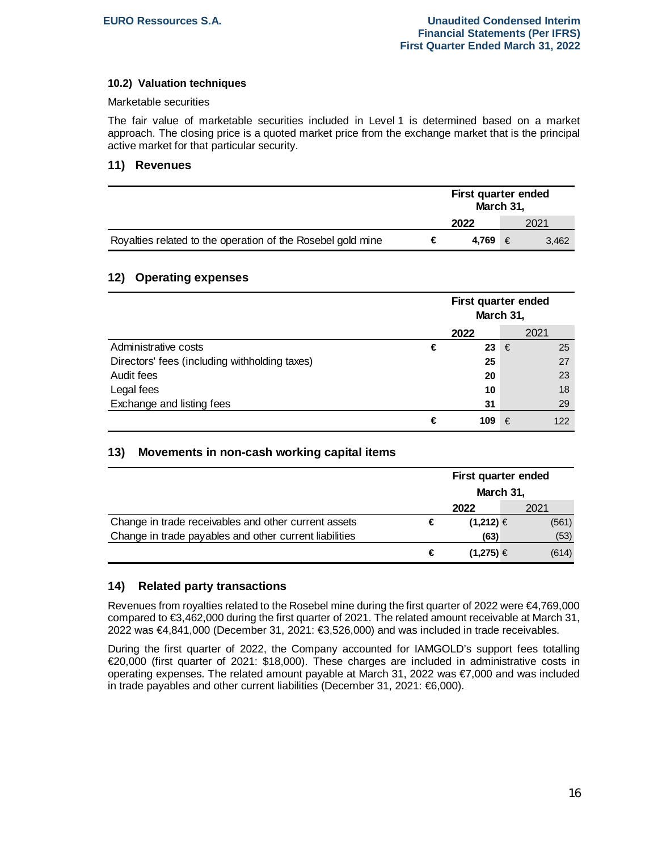### **10.2) Valuation techniques**

#### Marketable securities

The fair value of marketable securities included in Level 1 is determined based on a market approach. The closing price is a quoted market price from the exchange market that is the principal active market for that particular security.

#### **11) Revenues**

|                                                             | First quarter ended<br>March 31, |         |  |       |
|-------------------------------------------------------------|----------------------------------|---------|--|-------|
|                                                             |                                  | 2022    |  | 2021  |
| Royalties related to the operation of the Rosebel gold mine | €                                | 4.769 € |  | 3.462 |

# **12) Operating expenses**

|                                               | First quarter ended<br>March 31, |               |   |      |
|-----------------------------------------------|----------------------------------|---------------|---|------|
|                                               |                                  | 2022          |   | 2021 |
| Administrative costs                          | €                                | 23 $\epsilon$ |   | 25   |
| Directors' fees (including withholding taxes) |                                  | 25            |   | 27   |
| Audit fees                                    |                                  | 20            |   | 23   |
| Legal fees                                    |                                  | 10            |   | 18   |
| Exchange and listing fees                     |                                  | 31            |   | 29   |
|                                               | €                                | 109           | € | 122  |

# **13) Movements in non-cash working capital items**

|                                                        |   | First quarter ended<br>March 31, |  |       |
|--------------------------------------------------------|---|----------------------------------|--|-------|
|                                                        |   | 2022                             |  | 2021  |
| Change in trade receivables and other current assets   | € | $(1,212) \in$                    |  | (561) |
| Change in trade payables and other current liabilities |   | (63)                             |  | (53)  |
|                                                        | € | $(1,275) \in$                    |  | (614) |

#### **14) Related party transactions**

Revenues from royalties related to the Rosebel mine during the first quarter of 2022 were €4,769,000 compared to €3,462,000 during the first quarter of 2021. The related amount receivable at March 31, 2022 was €4,841,000 (December 31, 2021: €3,526,000) and was included in trade receivables.

During the first quarter of 2022, the Company accounted for IAMGOLD's support fees totalling €20,000 (first quarter of 2021: \$18,000). These charges are included in administrative costs in operating expenses. The related amount payable at March 31, 2022 was €7,000 and was included in trade payables and other current liabilities (December 31, 2021: €6,000).